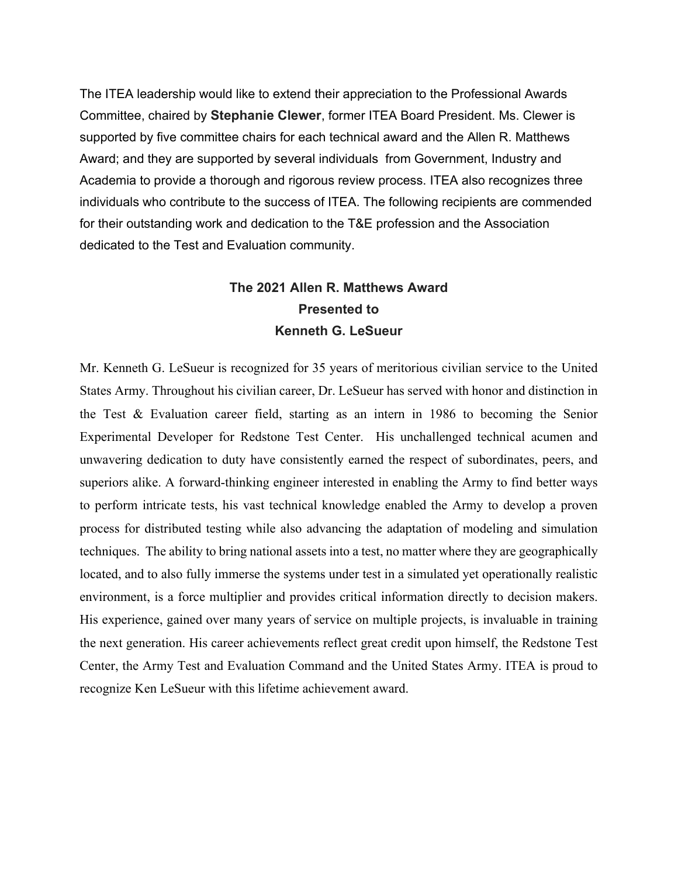The ITEA leadership would like to extend their appreciation to the Professional Awards Committee, chaired by **Stephanie Clewer**, former ITEA Board President. Ms. Clewer is supported by five committee chairs for each technical award and the Allen R. Matthews Award; and they are supported by several individuals from Government, Industry and Academia to provide a thorough and rigorous review process. ITEA also recognizes three individuals who contribute to the success of ITEA. The following recipients are commended for their outstanding work and dedication to the T&E profession and the Association dedicated to the Test and Evaluation community.

# **The 2021 Allen R. Matthews Award Presented to Kenneth G. LeSueur**

Mr. Kenneth G. LeSueur is recognized for 35 years of meritorious civilian service to the United States Army. Throughout his civilian career, Dr. LeSueur has served with honor and distinction in the Test & Evaluation career field, starting as an intern in 1986 to becoming the Senior Experimental Developer for Redstone Test Center. His unchallenged technical acumen and unwavering dedication to duty have consistently earned the respect of subordinates, peers, and superiors alike. A forward-thinking engineer interested in enabling the Army to find better ways to perform intricate tests, his vast technical knowledge enabled the Army to develop a proven process for distributed testing while also advancing the adaptation of modeling and simulation techniques. The ability to bring national assets into a test, no matter where they are geographically located, and to also fully immerse the systems under test in a simulated yet operationally realistic environment, is a force multiplier and provides critical information directly to decision makers. His experience, gained over many years of service on multiple projects, is invaluable in training the next generation. His career achievements reflect great credit upon himself, the Redstone Test Center, the Army Test and Evaluation Command and the United States Army. ITEA is proud to recognize Ken LeSueur with this lifetime achievement award.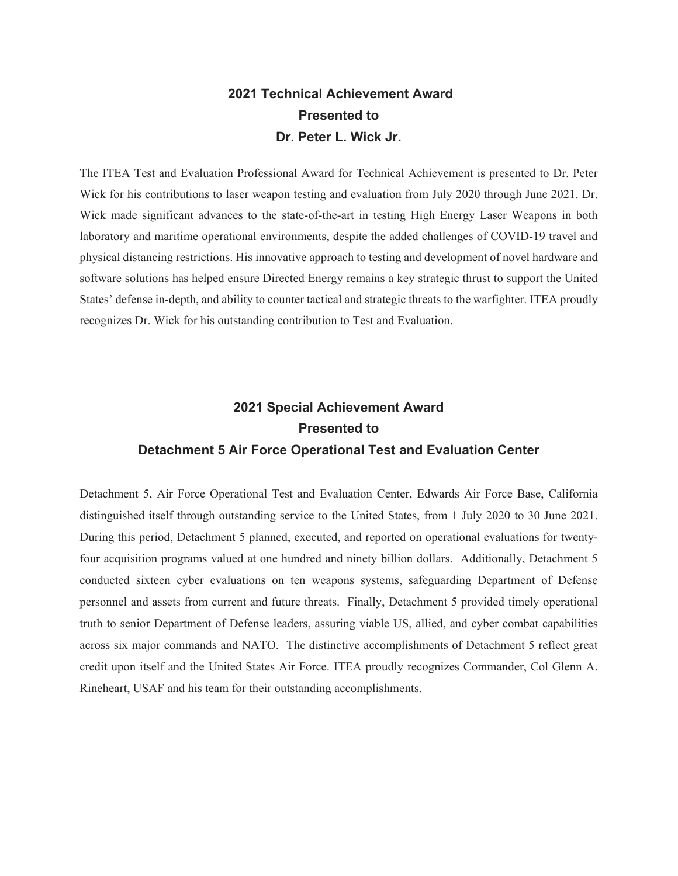# **2021 Technical Achievement Award Presented to Dr. Peter L. Wick Jr.**

The ITEA Test and Evaluation Professional Award for Technical Achievement is presented to Dr. Peter Wick for his contributions to laser weapon testing and evaluation from July 2020 through June 2021. Dr. Wick made significant advances to the state-of-the-art in testing High Energy Laser Weapons in both laboratory and maritime operational environments, despite the added challenges of COVID-19 travel and physical distancing restrictions. His innovative approach to testing and development of novel hardware and software solutions has helped ensure Directed Energy remains a key strategic thrust to support the United States' defense in-depth, and ability to counter tactical and strategic threats to the warfighter. ITEA proudly recognizes Dr. Wick for his outstanding contribution to Test and Evaluation.

# **2021 Special Achievement Award Presented to Detachment 5 Air Force Operational Test and Evaluation Center**

Detachment 5, Air Force Operational Test and Evaluation Center, Edwards Air Force Base, California distinguished itself through outstanding service to the United States, from 1 July 2020 to 30 June 2021. During this period, Detachment 5 planned, executed, and reported on operational evaluations for twentyfour acquisition programs valued at one hundred and ninety billion dollars. Additionally, Detachment 5 conducted sixteen cyber evaluations on ten weapons systems, safeguarding Department of Defense personnel and assets from current and future threats. Finally, Detachment 5 provided timely operational truth to senior Department of Defense leaders, assuring viable US, allied, and cyber combat capabilities across six major commands and NATO. The distinctive accomplishments of Detachment 5 reflect great credit upon itself and the United States Air Force. ITEA proudly recognizes Commander, Col Glenn A. Rineheart, USAF and his team for their outstanding accomplishments.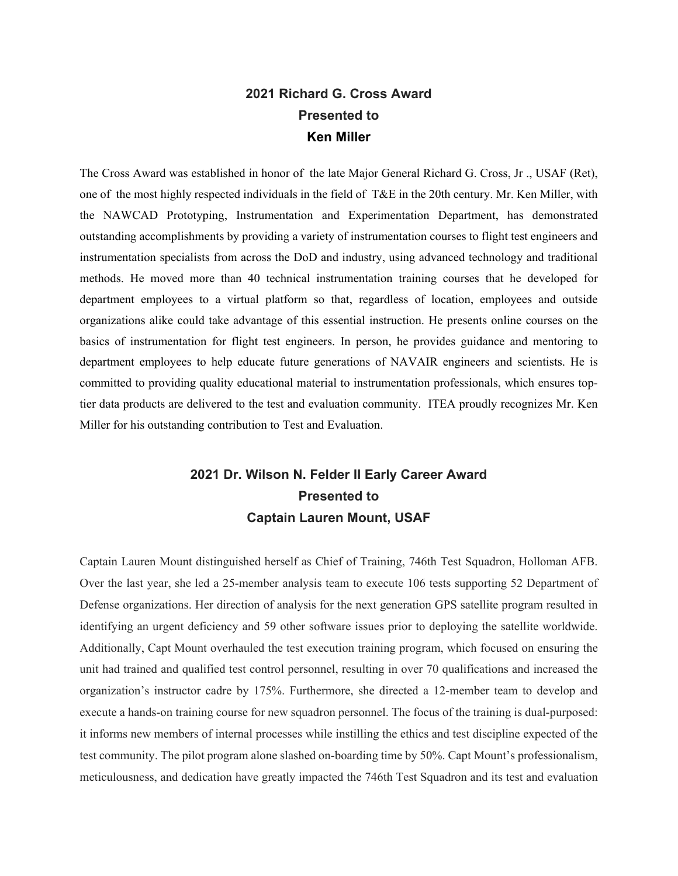#### **2021 Richard G. Cross Award Presented to Ken Miller**

The Cross Award was established in honor of the late Major General Richard G. Cross, Jr ., USAF (Ret), one of the most highly respected individuals in the field of T&E in the 20th century. Mr. Ken Miller, with the NAWCAD Prototyping, Instrumentation and Experimentation Department, has demonstrated outstanding accomplishments by providing a variety of instrumentation courses to flight test engineers and instrumentation specialists from across the DoD and industry, using advanced technology and traditional methods. He moved more than 40 technical instrumentation training courses that he developed for department employees to a virtual platform so that, regardless of location, employees and outside organizations alike could take advantage of this essential instruction. He presents online courses on the basics of instrumentation for flight test engineers. In person, he provides guidance and mentoring to department employees to help educate future generations of NAVAIR engineers and scientists. He is committed to providing quality educational material to instrumentation professionals, which ensures toptier data products are delivered to the test and evaluation community. ITEA proudly recognizes Mr. Ken Miller for his outstanding contribution to Test and Evaluation.

# **2021 Dr. Wilson N. Felder II Early Career Award Presented to Captain Lauren Mount, USAF**

Captain Lauren Mount distinguished herself as Chief of Training, 746th Test Squadron, Holloman AFB. Over the last year, she led a 25-member analysis team to execute 106 tests supporting 52 Department of Defense organizations. Her direction of analysis for the next generation GPS satellite program resulted in identifying an urgent deficiency and 59 other software issues prior to deploying the satellite worldwide. Additionally, Capt Mount overhauled the test execution training program, which focused on ensuring the unit had trained and qualified test control personnel, resulting in over 70 qualifications and increased the organization's instructor cadre by 175%. Furthermore, she directed a 12-member team to develop and execute a hands-on training course for new squadron personnel. The focus of the training is dual-purposed: it informs new members of internal processes while instilling the ethics and test discipline expected of the test community. The pilot program alone slashed on-boarding time by 50%. Capt Mount's professionalism, meticulousness, and dedication have greatly impacted the 746th Test Squadron and its test and evaluation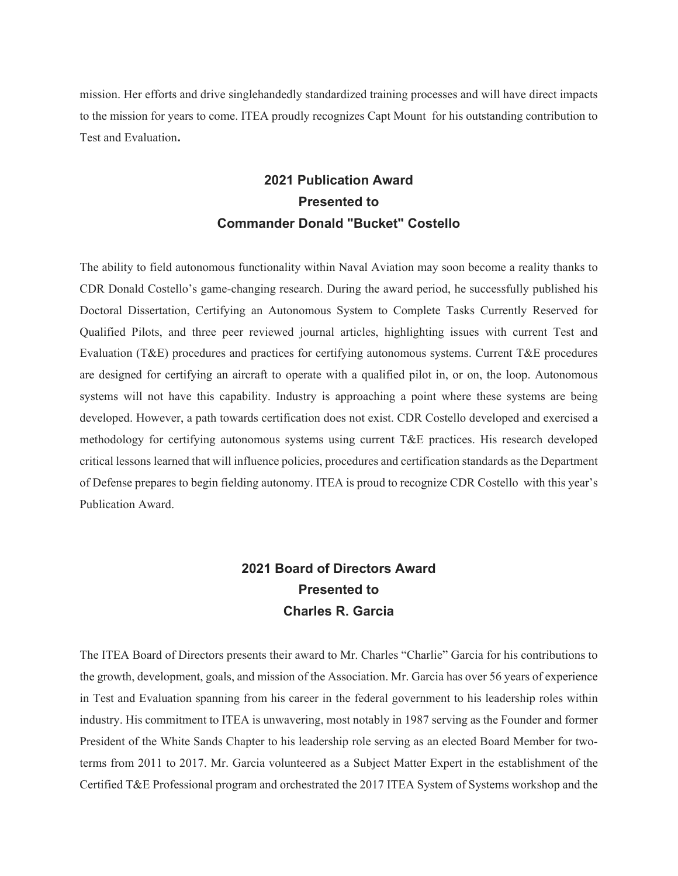mission. Her efforts and drive singlehandedly standardized training processes and will have direct impacts to the mission for years to come. ITEA proudly recognizes Capt Mount for his outstanding contribution to Test and Evaluation**.**

# **2021 Publication Award Presented to Commander Donald "Bucket" Costello**

The ability to field autonomous functionality within Naval Aviation may soon become a reality thanks to CDR Donald Costello's game-changing research. During the award period, he successfully published his Doctoral Dissertation, Certifying an Autonomous System to Complete Tasks Currently Reserved for Qualified Pilots, and three peer reviewed journal articles, highlighting issues with current Test and Evaluation (T&E) procedures and practices for certifying autonomous systems. Current T&E procedures are designed for certifying an aircraft to operate with a qualified pilot in, or on, the loop. Autonomous systems will not have this capability. Industry is approaching a point where these systems are being developed. However, a path towards certification does not exist. CDR Costello developed and exercised a methodology for certifying autonomous systems using current T&E practices. His research developed critical lessons learned that will influence policies, procedures and certification standards as the Department of Defense prepares to begin fielding autonomy. ITEA is proud to recognize CDR Costello with this year's Publication Award.

## **2021 Board of Directors Award Presented to Charles R. Garcia**

The ITEA Board of Directors presents their award to Mr. Charles "Charlie" Garcia for his contributions to the growth, development, goals, and mission of the Association. Mr. Garcia has over 56 years of experience in Test and Evaluation spanning from his career in the federal government to his leadership roles within industry. His commitment to ITEA is unwavering, most notably in 1987 serving as the Founder and former President of the White Sands Chapter to his leadership role serving as an elected Board Member for twoterms from 2011 to 2017. Mr. Garcia volunteered as a Subject Matter Expert in the establishment of the Certified T&E Professional program and orchestrated the 2017 ITEA System of Systems workshop and the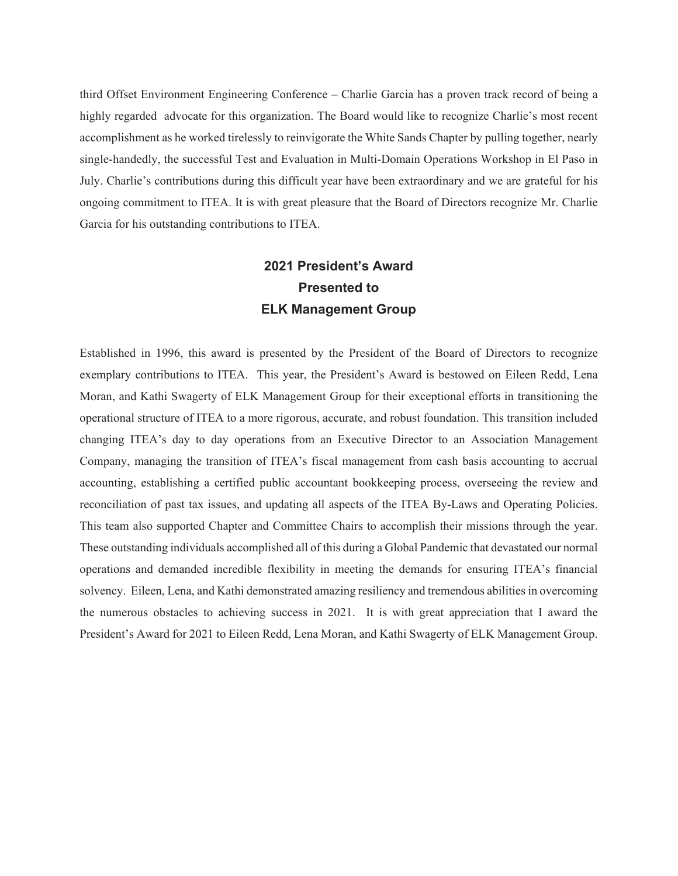third Offset Environment Engineering Conference – Charlie Garcia has a proven track record of being a highly regarded advocate for this organization. The Board would like to recognize Charlie's most recent accomplishment as he worked tirelessly to reinvigorate the White Sands Chapter by pulling together, nearly single-handedly, the successful Test and Evaluation in Multi-Domain Operations Workshop in El Paso in July. Charlie's contributions during this difficult year have been extraordinary and we are grateful for his ongoing commitment to ITEA. It is with great pleasure that the Board of Directors recognize Mr. Charlie Garcia for his outstanding contributions to ITEA.

## **2021 President's Award Presented to ELK Management Group**

Established in 1996, this award is presented by the President of the Board of Directors to recognize exemplary contributions to ITEA. This year, the President's Award is bestowed on Eileen Redd, Lena Moran, and Kathi Swagerty of ELK Management Group for their exceptional efforts in transitioning the operational structure of ITEA to a more rigorous, accurate, and robust foundation. This transition included changing ITEA's day to day operations from an Executive Director to an Association Management Company, managing the transition of ITEA's fiscal management from cash basis accounting to accrual accounting, establishing a certified public accountant bookkeeping process, overseeing the review and reconciliation of past tax issues, and updating all aspects of the ITEA By-Laws and Operating Policies. This team also supported Chapter and Committee Chairs to accomplish their missions through the year. These outstanding individuals accomplished all of this during a Global Pandemic that devastated our normal operations and demanded incredible flexibility in meeting the demands for ensuring ITEA's financial solvency. Eileen, Lena, and Kathi demonstrated amazing resiliency and tremendous abilities in overcoming the numerous obstacles to achieving success in 2021. It is with great appreciation that I award the President's Award for 2021 to Eileen Redd, Lena Moran, and Kathi Swagerty of ELK Management Group.